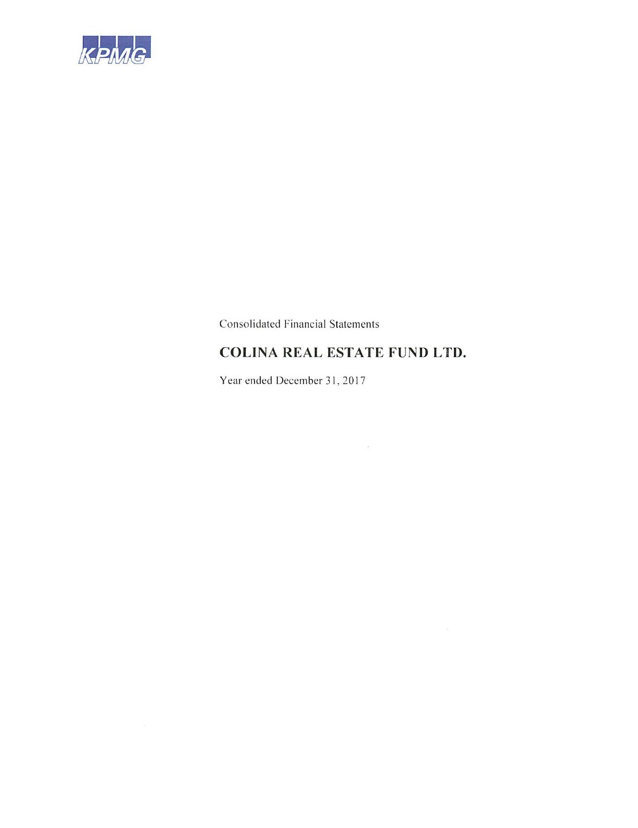

**Consolidated Financial Statements** 

# COLINA REAL ESTATE FUND LTD.

 $\label{eq:2.1} \sum_{i=1}^n \frac{1}{n_i} \sum_{i=1}^n \frac{1}{n_i} \sum_{i=1}^n \frac{1}{n_i} \sum_{i=1}^n \frac{1}{n_i} \sum_{i=1}^n \frac{1}{n_i} \sum_{i=1}^n \frac{1}{n_i} \sum_{i=1}^n \frac{1}{n_i} \sum_{i=1}^n \frac{1}{n_i} \sum_{i=1}^n \frac{1}{n_i} \sum_{i=1}^n \frac{1}{n_i} \sum_{i=1}^n \frac{1}{n_i} \sum_{i=1}^n \frac{1}{n_i} \sum_{i=1}$ 

Year ended December 31, 2017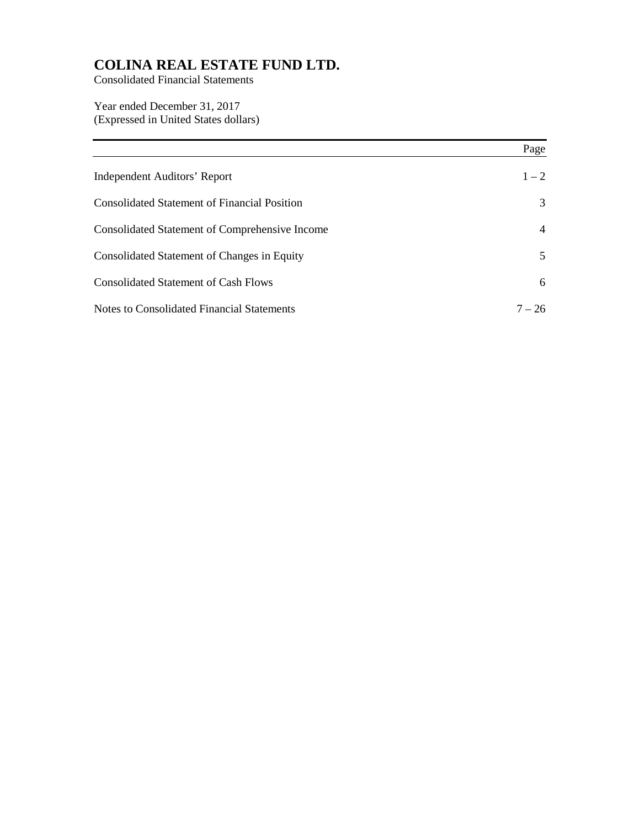Consolidated Financial Statements

Year ended December 31, 2017 (Expressed in United States dollars)

|                                                     | Page           |
|-----------------------------------------------------|----------------|
| <b>Independent Auditors' Report</b>                 | $1 - 2$        |
| <b>Consolidated Statement of Financial Position</b> | 3              |
| Consolidated Statement of Comprehensive Income      | $\overline{4}$ |
| Consolidated Statement of Changes in Equity         | 5              |
| <b>Consolidated Statement of Cash Flows</b>         | 6              |
| <b>Notes to Consolidated Financial Statements</b>   | $7 - 26$       |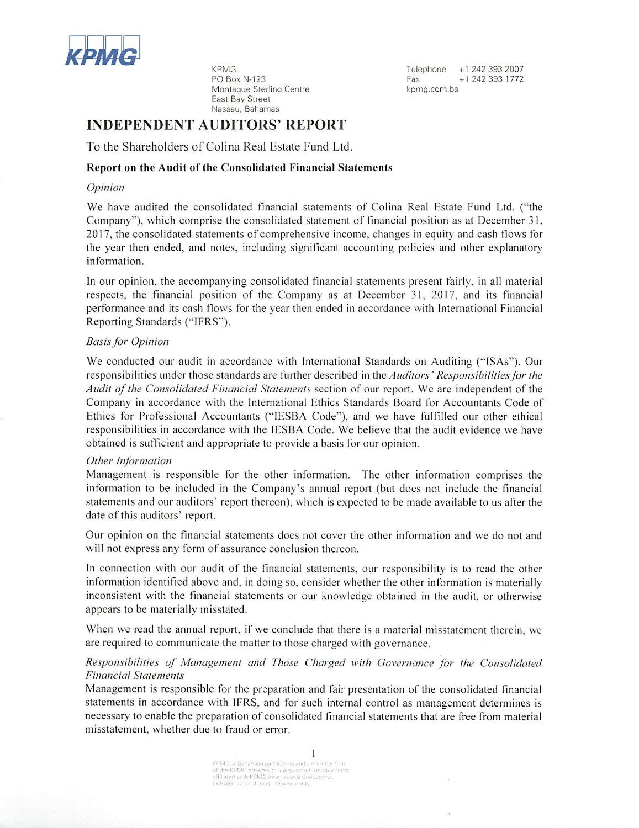

**KPMG PO Box N-123** Montague Sterling Centre **East Bay Street** Nassau, Bahamas

Telephone +1 242 393 2007 Fax +1 242 393 1772 kpmg.com.bs

## **INDEPENDENT AUDITORS' REPORT**

To the Shareholders of Colina Real Estate Fund Ltd.

## Report on the Audit of the Consolidated Financial Statements

#### Opinion

We have audited the consolidated financial statements of Colina Real Estate Fund Ltd. ("the Company"), which comprise the consolidated statement of financial position as at December 31, 2017, the consolidated statements of comprehensive income, changes in equity and cash flows for the year then ended, and notes, including significant accounting policies and other explanatory information.

In our opinion, the accompanying consolidated financial statements present fairly, in all material respects, the financial position of the Company as at December 31, 2017, and its financial performance and its cash flows for the year then ended in accordance with International Financial Reporting Standards ("IFRS").

## **Basis for Opinion**

We conducted our audit in accordance with International Standards on Auditing ("ISAs"). Our responsibilities under those standards are further described in the Auditors' Responsibilities for the Audit of the Consolidated Financial Statements section of our report. We are independent of the Company in accordance with the International Ethics Standards Board for Accountants Code of Ethics for Professional Accountants ("IESBA Code"), and we have fulfilled our other ethical responsibilities in accordance with the IESBA Code. We believe that the audit evidence we have obtained is sufficient and appropriate to provide a basis for our opinion.

## Other Information

Management is responsible for the other information. The other information comprises the information to be included in the Company's annual report (but does not include the financial statements and our auditors' report thereon), which is expected to be made available to us after the date of this auditors' report.

Our opinion on the financial statements does not cover the other information and we do not and will not express any form of assurance conclusion thereon.

In connection with our audit of the financial statements, our responsibility is to read the other information identified above and, in doing so, consider whether the other information is materially inconsistent with the financial statements or our knowledge obtained in the audit, or otherwise appears to be materially misstated.

When we read the annual report, if we conclude that there is a material misstatement therein, we are required to communicate the matter to those charged with governance.

## Responsibilities of Management and Those Charged with Governance for the Consolidated **Financial Statements**

Management is responsible for the preparation and fair presentation of the consolidated financial statements in accordance with IFRS, and for such internal control as management determines is necessary to enable the preparation of consolidated financial statements that are free from material misstatement, whether due to fraud or error.

KPMG, a Bahamian partnership and a member firm<br>of the KPMG network of independent member firms<br>affiliated with KPMG International Cooperative ("KPMG" International), a Swiss entity.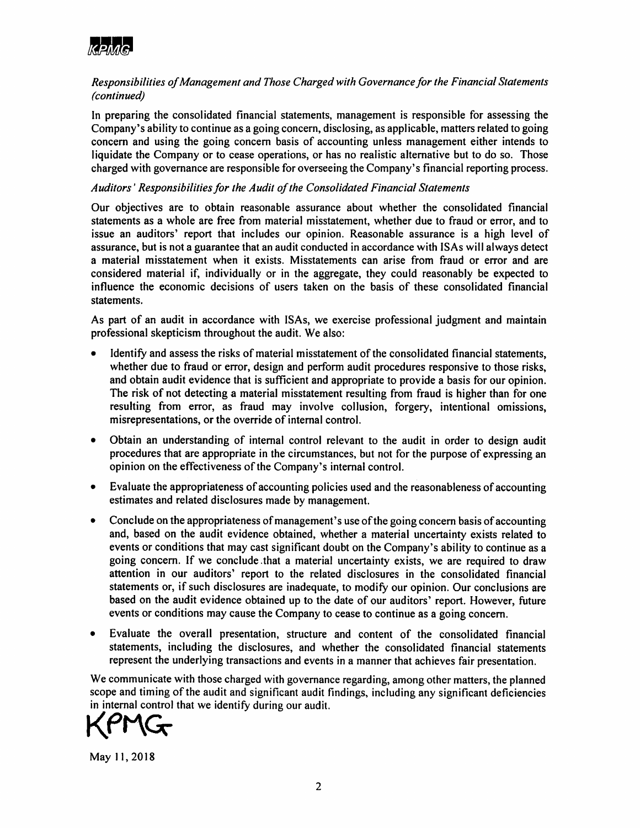

## Responsibilities of Management and Those Charged with Governance for the Financial Statements (continued)

In preparing the consolidated financial statements, management is responsible for assessing the Company's ability to continue as a going concern, disclosing, as applicable, matters related to going concern and using the going concern basis of accounting unless management either intends to liquidate the Company or to cease operations, or has no realistic alternative but to do so. Those charged with governance are responsible for overseeing the Company's financial reporting process.

## Auditors' Responsibilities for the Audit of the Consolidated Financial Statements

Our objectives are to obtain reasonable assurance about whether the consolidated financial statements as a whole are free from material misstatement, whether due to fraud or error, and to issue an auditors' report that includes our opinion. Reasonable assurance is a high level of assurance, but is not a guarantee that an audit conducted in accordance with ISAs will always detect a material misstatement when it exists. Misstatements can arise from fraud or error and are considered material if, individually or in the aggregate, they could reasonably be expected to influence the economic decisions of users taken on the basis of these consolidated financial statements.

As part of an audit in accordance with ISAs, we exercise professional judgment and maintain professional skepticism throughout the audit. We also:

- Identify and assess the risks of material misstatement of the consolidated financial statements, whether due to fraud or error, design and perform audit procedures responsive to those risks, and obtain audit evidence that is sufficient and appropriate to provide a basis for our opinion. The risk of not detecting a material misstatement resulting from fraud is higher than for one resulting from error, as fraud may involve collusion, forgery, intentional omissions, misrepresentations, or the override of internal control.
- Obtain an understanding of internal control relevant to the audit in order to design audit  $\bullet$ procedures that are appropriate in the circumstances, but not for the purpose of expressing an opinion on the effectiveness of the Company's internal control.
- $\bullet$ Evaluate the appropriateness of accounting policies used and the reasonableness of accounting estimates and related disclosures made by management.
- $\bullet$ Conclude on the appropriateness of management's use of the going concern basis of accounting and, based on the audit evidence obtained, whether a material uncertainty exists related to events or conditions that may cast significant doubt on the Company's ability to continue as a going concern. If we conclude that a material uncertainty exists, we are required to draw attention in our auditors' report to the related disclosures in the consolidated financial statements or, if such disclosures are inadequate, to modify our opinion. Our conclusions are based on the audit evidence obtained up to the date of our auditors' report. However, future events or conditions may cause the Company to cease to continue as a going concern.
- Evaluate the overall presentation, structure and content of the consolidated financial  $\bullet$ statements, including the disclosures, and whether the consolidated financial statements represent the underlying transactions and events in a manner that achieves fair presentation.

We communicate with those charged with governance regarding, among other matters, the planned scope and timing of the audit and significant audit findings, including any significant deficiencies in internal control that we identify during our audit.

May 11, 2018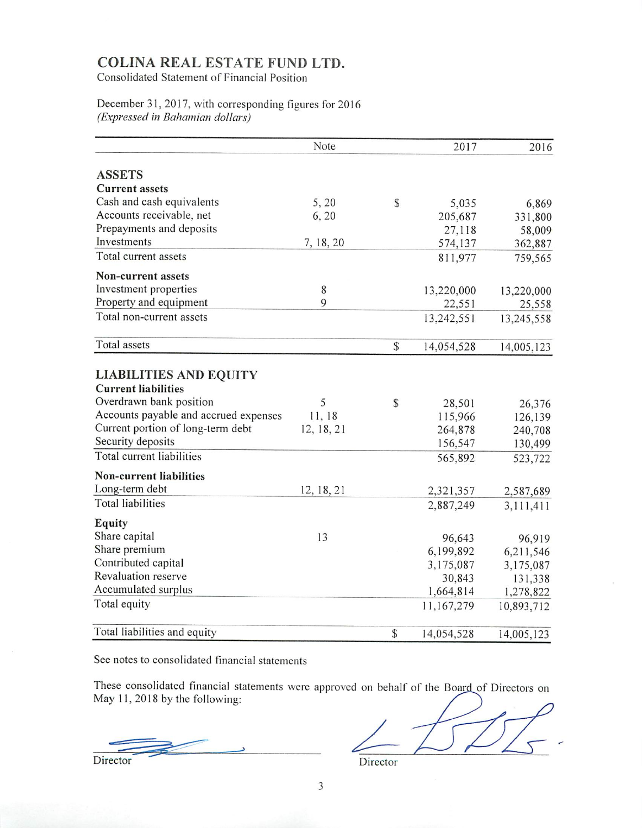Consolidated Statement of Financial Position

December 31, 2017, with corresponding figures for 2016 (Expressed in Bahamian dollars)

|                                                             | Note        | 2017             | 2016       |
|-------------------------------------------------------------|-------------|------------------|------------|
| <b>ASSETS</b>                                               |             |                  |            |
| <b>Current assets</b>                                       |             |                  |            |
| Cash and cash equivalents                                   | 5, 20       | \$<br>5,035      | 6,869      |
| Accounts receivable, net                                    | 6, 20       | 205,687          | 331,800    |
| Prepayments and deposits                                    |             | 27,118           | 58,009     |
| Investments                                                 | 7, 18, 20   | 574,137          | 362,887    |
| Total current assets                                        |             | 811,977          | 759,565    |
| Non-current assets                                          |             |                  |            |
| Investment properties                                       | $\,$ 8 $\,$ | 13,220,000       | 13,220,000 |
| Property and equipment                                      | 9           | 22,551           | 25,558     |
| Total non-current assets                                    |             | 13,242,551       | 13,245,558 |
| Total assets                                                |             | \$<br>14,054,528 | 14,005,123 |
| <b>LIABILITIES AND EQUITY</b><br><b>Current liabilities</b> |             |                  |            |
| Overdrawn bank position                                     | 5           | \$<br>28,501     | 26,376     |
| Accounts payable and accrued expenses                       | 11, 18      | 115,966          | 126,139    |
| Current portion of long-term debt                           | 12, 18, 21  | 264,878          | 240,708    |
| Security deposits                                           |             | 156,547          | 130,499    |
| Total current liabilities                                   |             | 565,892          | 523,722    |
| <b>Non-current liabilities</b>                              |             |                  |            |
| Long-term debt                                              | 12, 18, 21  | 2,321,357        | 2,587,689  |
| <b>Total liabilities</b>                                    |             | 2,887,249        | 3,111,411  |
| Equity                                                      |             |                  |            |
| Share capital                                               | 13          | 96,643           | 96,919     |
| Share premium                                               |             | 6,199,892        | 6,211,546  |
| Contributed capital                                         |             | 3,175,087        | 3,175,087  |
| Revaluation reserve                                         |             | 30,843           | 131,338    |
| Accumulated surplus                                         |             | 1,664,814        | 1,278,822  |
| Total equity                                                |             | 11,167,279       | 10,893,712 |
| Total liabilities and equity                                |             | \$<br>14,054,528 | 14,005,123 |

See notes to consolidated financial statements

These consolidated financial statements were approved on behalf of the Board of Directors on May 11, 2018 by the following:

Director

Director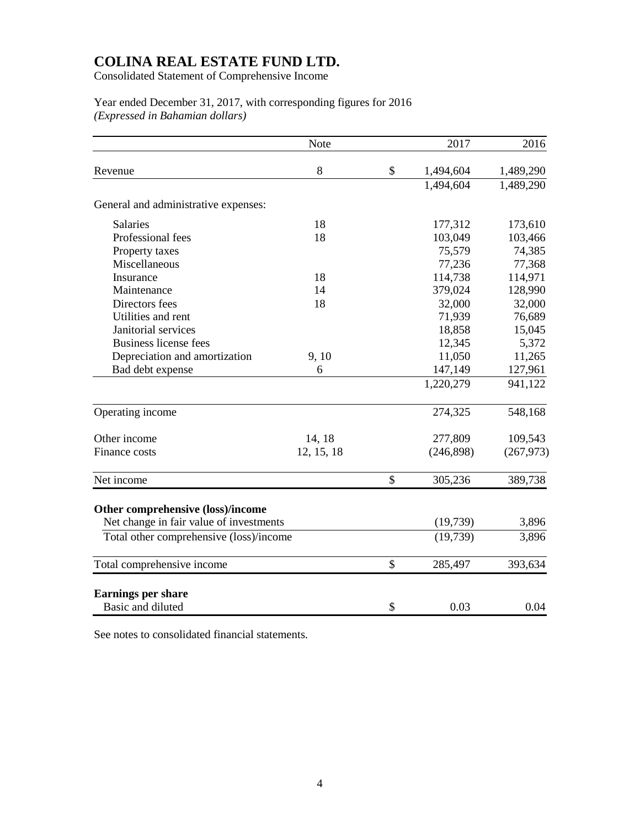Consolidated Statement of Comprehensive Income

## Year ended December 31, 2017, with corresponding figures for 2016 *(Expressed in Bahamian dollars)*

|                                         | Note       | 2017            | 2016       |
|-----------------------------------------|------------|-----------------|------------|
| Revenue                                 | 8          | \$<br>1,494,604 | 1,489,290  |
|                                         |            | 1,494,604       | 1,489,290  |
| General and administrative expenses:    |            |                 |            |
| <b>Salaries</b>                         | 18         | 177,312         | 173,610    |
| Professional fees                       | 18         | 103,049         | 103,466    |
| Property taxes                          |            | 75,579          | 74,385     |
| Miscellaneous                           |            | 77,236          | 77,368     |
| Insurance                               | 18         | 114,738         | 114,971    |
| Maintenance                             | 14         | 379,024         | 128,990    |
| Directors fees                          | 18         | 32,000          | 32,000     |
| Utilities and rent                      |            | 71,939          | 76,689     |
| Janitorial services                     |            | 18,858          | 15,045     |
| <b>Business license fees</b>            |            | 12,345          | 5,372      |
| Depreciation and amortization           | 9, 10      | 11,050          | 11,265     |
| Bad debt expense                        | 6          | 147,149         | 127,961    |
|                                         |            | 1,220,279       | 941,122    |
| Operating income                        |            | 274,325         | 548,168    |
| Other income                            | 14, 18     | 277,809         | 109,543    |
| Finance costs                           | 12, 15, 18 | (246, 898)      | (267, 973) |
| Net income                              |            | \$<br>305,236   | 389,738    |
| Other comprehensive (loss)/income       |            |                 |            |
| Net change in fair value of investments |            | (19, 739)       | 3,896      |
| Total other comprehensive (loss)/income |            | (19, 739)       | 3,896      |
| Total comprehensive income              |            | \$<br>285,497   | 393,634    |
| <b>Earnings per share</b>               |            |                 |            |
| Basic and diluted                       |            | \$<br>0.03      | 0.04       |

See notes to consolidated financial statements.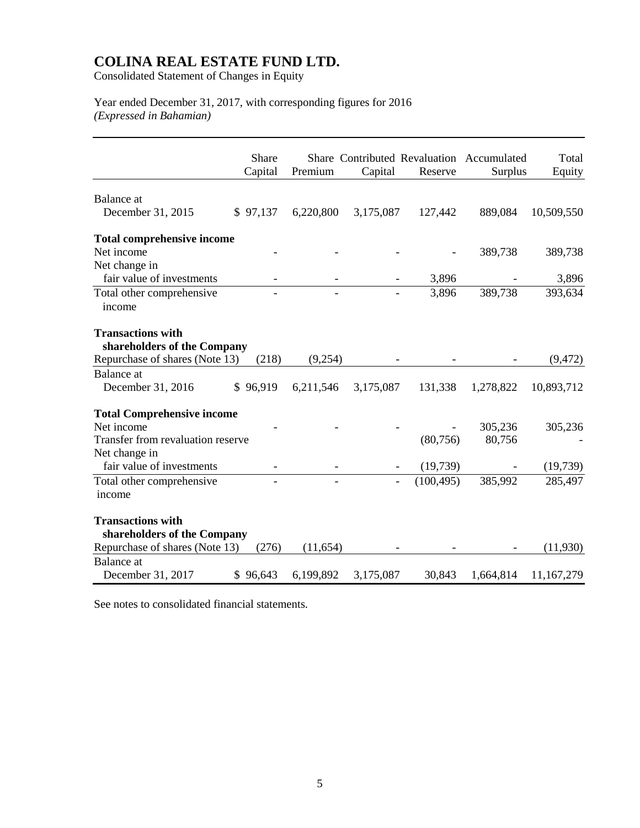Consolidated Statement of Changes in Equity

Year ended December 31, 2017, with corresponding figures for 2016 *(Expressed in Bahamian)*

|                                                         | Share    |           |           |            | Share Contributed Revaluation Accumulated | Total      |
|---------------------------------------------------------|----------|-----------|-----------|------------|-------------------------------------------|------------|
|                                                         | Capital  | Premium   | Capital   | Reserve    | Surplus                                   | Equity     |
| <b>Balance</b> at                                       |          |           |           |            |                                           |            |
| December 31, 2015                                       | \$97,137 | 6,220,800 | 3,175,087 | 127,442    | 889,084                                   | 10,509,550 |
| <b>Total comprehensive income</b>                       |          |           |           |            |                                           |            |
| Net income                                              |          |           |           |            | 389,738                                   | 389,738    |
| Net change in                                           |          |           |           |            |                                           |            |
| fair value of investments                               |          |           |           | 3,896      |                                           | 3,896      |
| Total other comprehensive<br>income                     |          |           |           | 3,896      | 389,738                                   | 393,634    |
| <b>Transactions with</b><br>shareholders of the Company |          |           |           |            |                                           |            |
| Repurchase of shares (Note 13)                          | (218)    | (9,254)   |           |            |                                           | (9, 472)   |
| <b>Balance</b> at                                       |          |           |           |            |                                           |            |
| December 31, 2016                                       | \$96,919 | 6,211,546 | 3,175,087 | 131,338    | 1,278,822                                 | 10,893,712 |
| <b>Total Comprehensive income</b>                       |          |           |           |            |                                           |            |
| Net income                                              |          |           |           |            | 305,236                                   | 305,236    |
| Transfer from revaluation reserve                       |          |           |           | (80,756)   | 80,756                                    |            |
| Net change in                                           |          |           |           |            |                                           |            |
| fair value of investments                               |          |           |           | (19,739)   |                                           | (19, 739)  |
| Total other comprehensive                               |          |           |           | (100, 495) | 385,992                                   | 285,497    |
| income                                                  |          |           |           |            |                                           |            |
| <b>Transactions with</b><br>shareholders of the Company |          |           |           |            |                                           |            |
| Repurchase of shares (Note 13)                          | (276)    | (11, 654) |           |            |                                           | (11,930)   |
| <b>Balance</b> at                                       |          |           |           |            |                                           |            |
| December 31, 2017                                       | \$96,643 | 6,199,892 | 3,175,087 | 30,843     | 1,664,814                                 | 11,167,279 |

See notes to consolidated financial statements.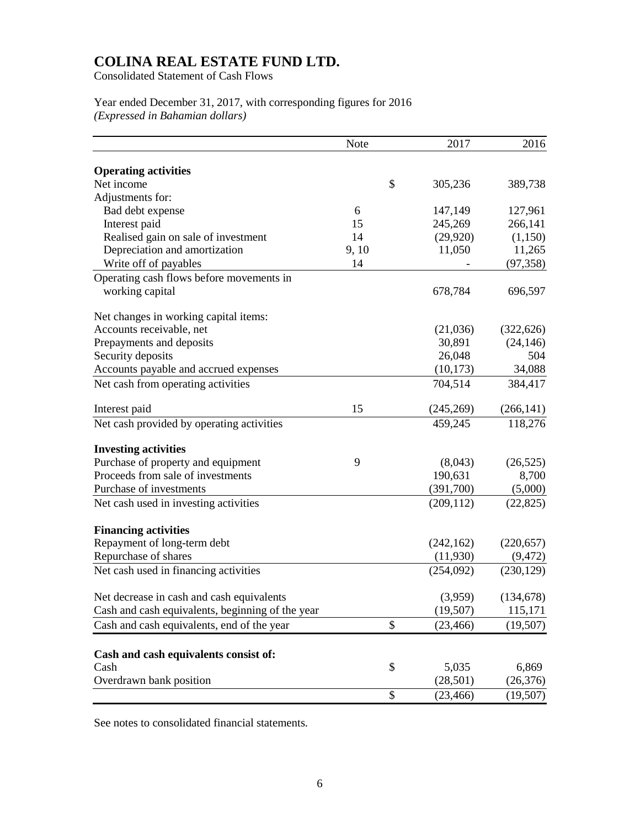Consolidated Statement of Cash Flows

Year ended December 31, 2017, with corresponding figures for 2016 *(Expressed in Bahamian dollars)*

|                                                  | Note  | 2017       | 2016       |
|--------------------------------------------------|-------|------------|------------|
| <b>Operating activities</b>                      |       |            |            |
| Net income                                       | \$    | 305,236    | 389,738    |
| Adjustments for:                                 |       |            |            |
| Bad debt expense                                 | 6     | 147,149    | 127,961    |
| Interest paid                                    | 15    | 245,269    | 266,141    |
| Realised gain on sale of investment              | 14    | (29, 920)  | (1,150)    |
| Depreciation and amortization                    | 9, 10 | 11,050     | 11,265     |
| Write off of payables                            | 14    |            | (97, 358)  |
| Operating cash flows before movements in         |       |            |            |
| working capital                                  |       | 678,784    | 696,597    |
| Net changes in working capital items:            |       |            |            |
| Accounts receivable, net                         |       | (21,036)   | (322, 626) |
| Prepayments and deposits                         |       | 30,891     | (24, 146)  |
| Security deposits                                |       | 26,048     | 504        |
| Accounts payable and accrued expenses            |       | (10, 173)  | 34,088     |
| Net cash from operating activities               |       | 704,514    | 384,417    |
|                                                  |       |            |            |
| Interest paid                                    | 15    | (245,269)  | (266, 141) |
| Net cash provided by operating activities        |       | 459,245    | 118,276    |
| <b>Investing activities</b>                      |       |            |            |
| Purchase of property and equipment               | 9     | (8,043)    | (26, 525)  |
| Proceeds from sale of investments                |       | 190,631    | 8,700      |
| Purchase of investments                          |       | (391,700)  | (5,000)    |
| Net cash used in investing activities            |       | (209, 112) | (22, 825)  |
|                                                  |       |            |            |
| <b>Financing activities</b>                      |       |            |            |
| Repayment of long-term debt                      |       | (242, 162) | (220, 657) |
| Repurchase of shares                             |       | (11,930)   | (9, 472)   |
| Net cash used in financing activities            |       | (254,092)  | (230, 129) |
| Net decrease in cash and cash equivalents        |       | (3,959)    | (134, 678) |
| Cash and cash equivalents, beginning of the year |       | (19,507)   | 115,171    |
| Cash and cash equivalents, end of the year       | \$    | (23, 466)  | (19,507)   |
|                                                  |       |            |            |
| Cash and cash equivalents consist of:            |       |            |            |
| Cash                                             | \$    | 5,035      | 6,869      |
| Overdrawn bank position                          |       | (28,501)   | (26,376)   |
|                                                  | \$    | (23, 466)  | (19, 507)  |

See notes to consolidated financial statements.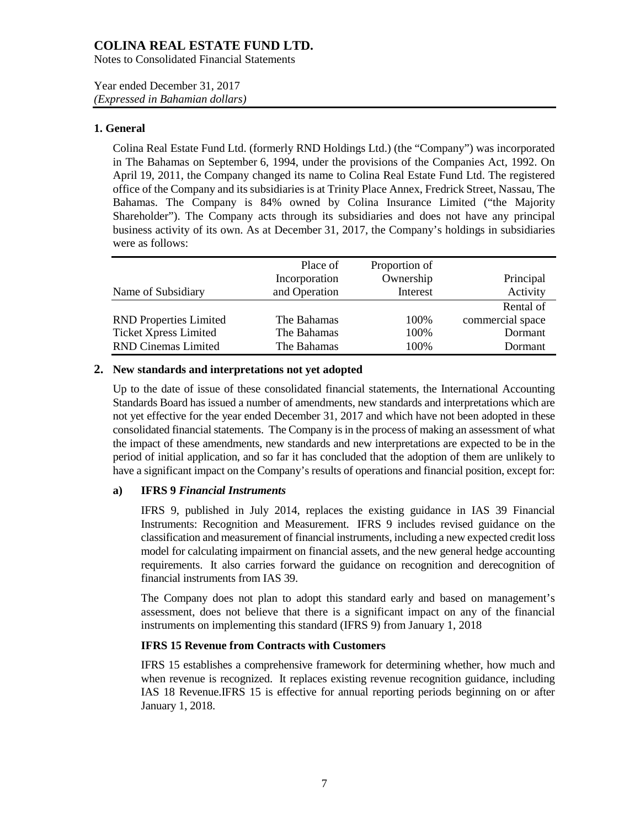Notes to Consolidated Financial Statements

Year ended December 31, 2017 *(Expressed in Bahamian dollars)*

## **1. General**

Colina Real Estate Fund Ltd. (formerly RND Holdings Ltd.) (the "Company") was incorporated in The Bahamas on September 6, 1994, under the provisions of the Companies Act, 1992. On April 19, 2011, the Company changed its name to Colina Real Estate Fund Ltd. The registered office of the Company and its subsidiaries is at Trinity Place Annex, Fredrick Street, Nassau, The Bahamas. The Company is 84% owned by Colina Insurance Limited ("the Majority Shareholder"). The Company acts through its subsidiaries and does not have any principal business activity of its own. As at December 31, 2017, the Company's holdings in subsidiaries were as follows:

| Name of Subsidiary            | Place of<br>Incorporation<br>and Operation | Proportion of<br>Ownership<br>Interest | Principal<br>Activity |
|-------------------------------|--------------------------------------------|----------------------------------------|-----------------------|
|                               |                                            |                                        | Rental of             |
| <b>RND Properties Limited</b> | The Bahamas                                | 100%                                   | commercial space      |
| <b>Ticket Xpress Limited</b>  | The Bahamas                                | 100%                                   | Dormant               |
| <b>RND Cinemas Limited</b>    | The Bahamas                                | 100%                                   | Dormant               |

## **2. New standards and interpretations not yet adopted**

Up to the date of issue of these consolidated financial statements, the International Accounting Standards Board has issued a number of amendments, new standards and interpretations which are not yet effective for the year ended December 31, 2017 and which have not been adopted in these consolidated financial statements. The Company is in the process of making an assessment of what the impact of these amendments, new standards and new interpretations are expected to be in the period of initial application, and so far it has concluded that the adoption of them are unlikely to have a significant impact on the Company's results of operations and financial position, except for:

## **a) IFRS 9** *Financial Instruments*

IFRS 9, published in July 2014, replaces the existing guidance in IAS 39 Financial Instruments: Recognition and Measurement. IFRS 9 includes revised guidance on the classification and measurement of financial instruments, including a new expected credit loss model for calculating impairment on financial assets, and the new general hedge accounting requirements. It also carries forward the guidance on recognition and derecognition of financial instruments from IAS 39.

The Company does not plan to adopt this standard early and based on management's assessment, does not believe that there is a significant impact on any of the financial instruments on implementing this standard (IFRS 9) from January 1, 2018

## **IFRS 15 Revenue from Contracts with Customers**

IFRS 15 establishes a comprehensive framework for determining whether, how much and when revenue is recognized. It replaces existing revenue recognition guidance, including IAS 18 Revenue.IFRS 15 is effective for annual reporting periods beginning on or after January 1, 2018.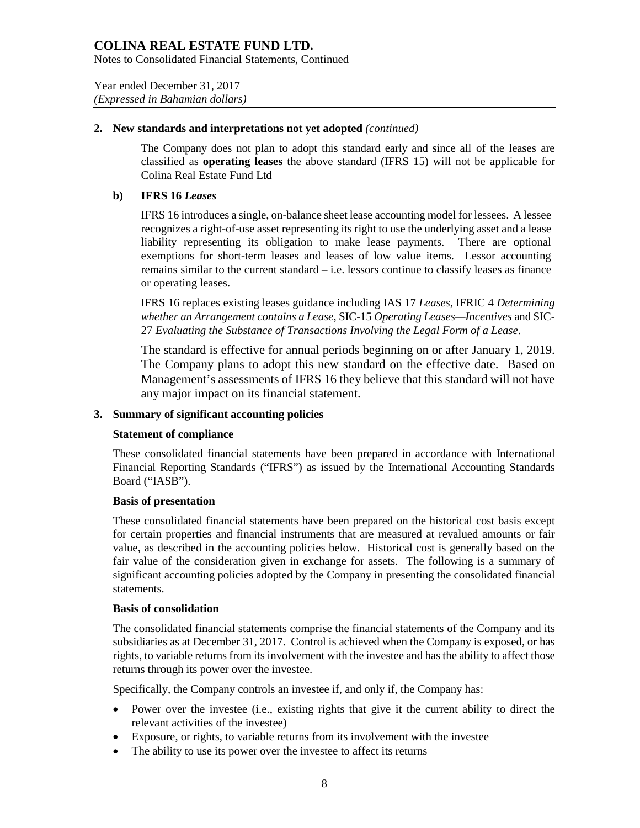Notes to Consolidated Financial Statements, Continued

Year ended December 31, 2017 *(Expressed in Bahamian dollars)*

## **2. New standards and interpretations not yet adopted** *(continued)*

The Company does not plan to adopt this standard early and since all of the leases are classified as **operating leases** the above standard (IFRS 15) will not be applicable for Colina Real Estate Fund Ltd

## **b) IFRS 16** *Leases*

IFRS 16 introduces a single, on-balance sheet lease accounting model for lessees. A lessee recognizes a right-of-use asset representing its right to use the underlying asset and a lease liability representing its obligation to make lease payments. There are optional exemptions for short-term leases and leases of low value items. Lessor accounting remains similar to the current standard – i.e. lessors continue to classify leases as finance or operating leases.

IFRS 16 replaces existing leases guidance including IAS 17 *Leases*, IFRIC 4 *Determining whether an Arrangement contains a Lease*, SIC-15 *Operating Leases—Incentives* and SIC-27 *Evaluating the Substance of Transactions Involving the Legal Form of a Lease*.

The standard is effective for annual periods beginning on or after January 1, 2019. The Company plans to adopt this new standard on the effective date. Based on Management's assessments of IFRS 16 they believe that this standard will not have any major impact on its financial statement.

## **3. Summary of significant accounting policies**

## **Statement of compliance**

These consolidated financial statements have been prepared in accordance with International Financial Reporting Standards ("IFRS") as issued by the International Accounting Standards Board ("IASB").

## **Basis of presentation**

These consolidated financial statements have been prepared on the historical cost basis except for certain properties and financial instruments that are measured at revalued amounts or fair value, as described in the accounting policies below. Historical cost is generally based on the fair value of the consideration given in exchange for assets. The following is a summary of significant accounting policies adopted by the Company in presenting the consolidated financial statements.

## **Basis of consolidation**

The consolidated financial statements comprise the financial statements of the Company and its subsidiaries as at December 31, 2017. Control is achieved when the Company is exposed, or has rights, to variable returns from its involvement with the investee and has the ability to affect those returns through its power over the investee.

Specifically, the Company controls an investee if, and only if, the Company has:

- Power over the investee (i.e., existing rights that give it the current ability to direct the relevant activities of the investee)
- Exposure, or rights, to variable returns from its involvement with the investee
- The ability to use its power over the investee to affect its returns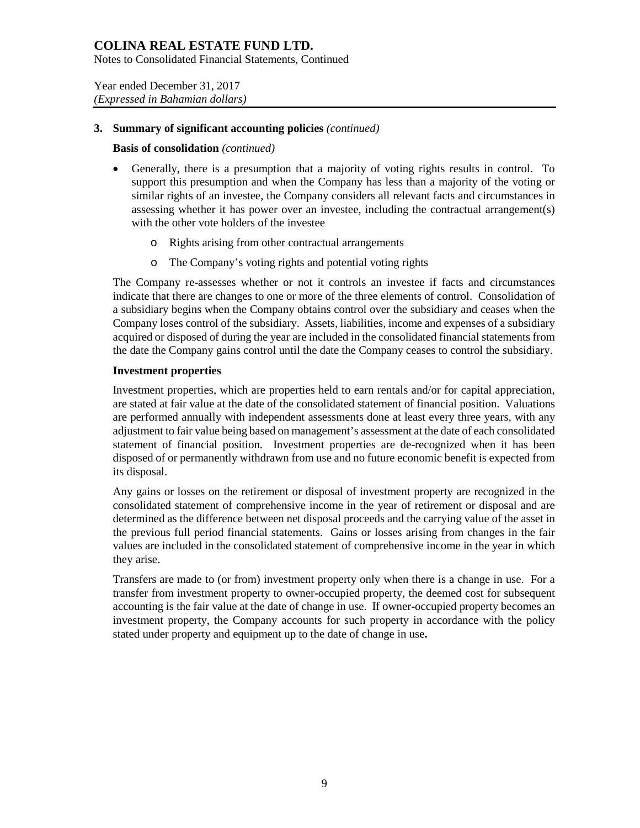Notes to Consolidated Financial Statements, Continued

Year ended December 31, 2017 *(Expressed in Bahamian dollars)*

## **3. Summary of significant accounting policies** *(continued)*

## **Basis of consolidation** *(continued)*

- Generally, there is a presumption that a majority of voting rights results in control. To support this presumption and when the Company has less than a majority of the voting or similar rights of an investee, the Company considers all relevant facts and circumstances in assessing whether it has power over an investee, including the contractual arrangement(s) with the other vote holders of the investee
	- o Rights arising from other contractual arrangements
	- o The Company's voting rights and potential voting rights

The Company re-assesses whether or not it controls an investee if facts and circumstances indicate that there are changes to one or more of the three elements of control. Consolidation of a subsidiary begins when the Company obtains control over the subsidiary and ceases when the Company loses control of the subsidiary. Assets, liabilities, income and expenses of a subsidiary acquired or disposed of during the year are included in the consolidated financial statements from the date the Company gains control until the date the Company ceases to control the subsidiary.

## **Investment properties**

Investment properties, which are properties held to earn rentals and/or for capital appreciation, are stated at fair value at the date of the consolidated statement of financial position. Valuations are performed annually with independent assessments done at least every three years, with any adjustment to fair value being based on management's assessment at the date of each consolidated statement of financial position. Investment properties are de-recognized when it has been disposed of or permanently withdrawn from use and no future economic benefit is expected from its disposal.

Any gains or losses on the retirement or disposal of investment property are recognized in the consolidated statement of comprehensive income in the year of retirement or disposal and are determined as the difference between net disposal proceeds and the carrying value of the asset in the previous full period financial statements. Gains or losses arising from changes in the fair values are included in the consolidated statement of comprehensive income in the year in which they arise.

Transfers are made to (or from) investment property only when there is a change in use. For a transfer from investment property to owner-occupied property, the deemed cost for subsequent accounting is the fair value at the date of change in use. If owner-occupied property becomes an investment property, the Company accounts for such property in accordance with the policy stated under property and equipment up to the date of change in use**.**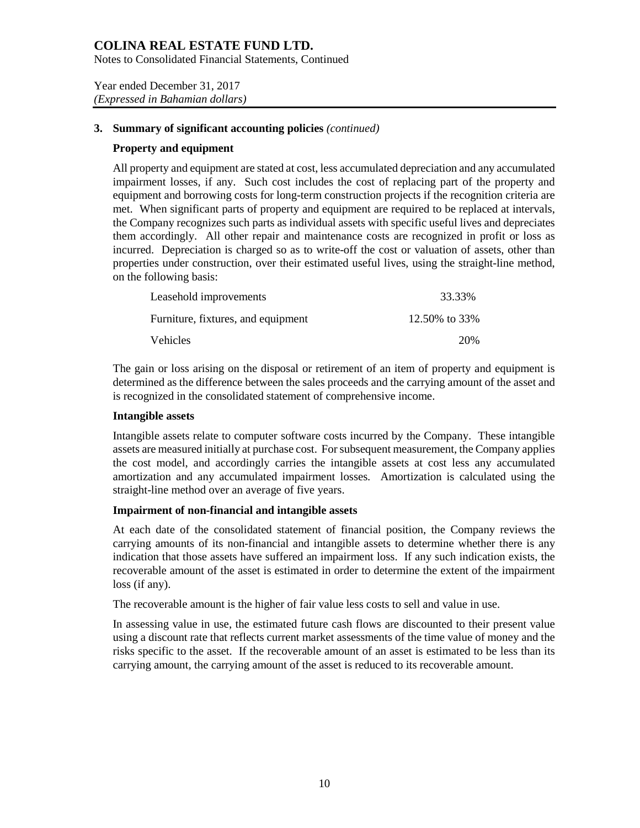Notes to Consolidated Financial Statements, Continued

Year ended December 31, 2017 *(Expressed in Bahamian dollars)*

## **3. Summary of significant accounting policies** *(continued)*

## **Property and equipment**

All property and equipment are stated at cost, less accumulated depreciation and any accumulated impairment losses, if any. Such cost includes the cost of replacing part of the property and equipment and borrowing costs for long-term construction projects if the recognition criteria are met. When significant parts of property and equipment are required to be replaced at intervals, the Company recognizes such parts as individual assets with specific useful lives and depreciates them accordingly. All other repair and maintenance costs are recognized in profit or loss as incurred. Depreciation is charged so as to write-off the cost or valuation of assets, other than properties under construction, over their estimated useful lives, using the straight-line method, on the following basis:

| Leasehold improvements             | 33.33%        |
|------------------------------------|---------------|
| Furniture, fixtures, and equipment | 12.50% to 33% |
| <b>Vehicles</b>                    | 20%           |

The gain or loss arising on the disposal or retirement of an item of property and equipment is determined as the difference between the sales proceeds and the carrying amount of the asset and is recognized in the consolidated statement of comprehensive income.

## **Intangible assets**

Intangible assets relate to computer software costs incurred by the Company. These intangible assets are measured initially at purchase cost. For subsequent measurement, the Company applies the cost model, and accordingly carries the intangible assets at cost less any accumulated amortization and any accumulated impairment losses. Amortization is calculated using the straight-line method over an average of five years.

## **Impairment of non-financial and intangible assets**

At each date of the consolidated statement of financial position, the Company reviews the carrying amounts of its non-financial and intangible assets to determine whether there is any indication that those assets have suffered an impairment loss. If any such indication exists, the recoverable amount of the asset is estimated in order to determine the extent of the impairment loss (if any).

The recoverable amount is the higher of fair value less costs to sell and value in use.

In assessing value in use, the estimated future cash flows are discounted to their present value using a discount rate that reflects current market assessments of the time value of money and the risks specific to the asset. If the recoverable amount of an asset is estimated to be less than its carrying amount, the carrying amount of the asset is reduced to its recoverable amount.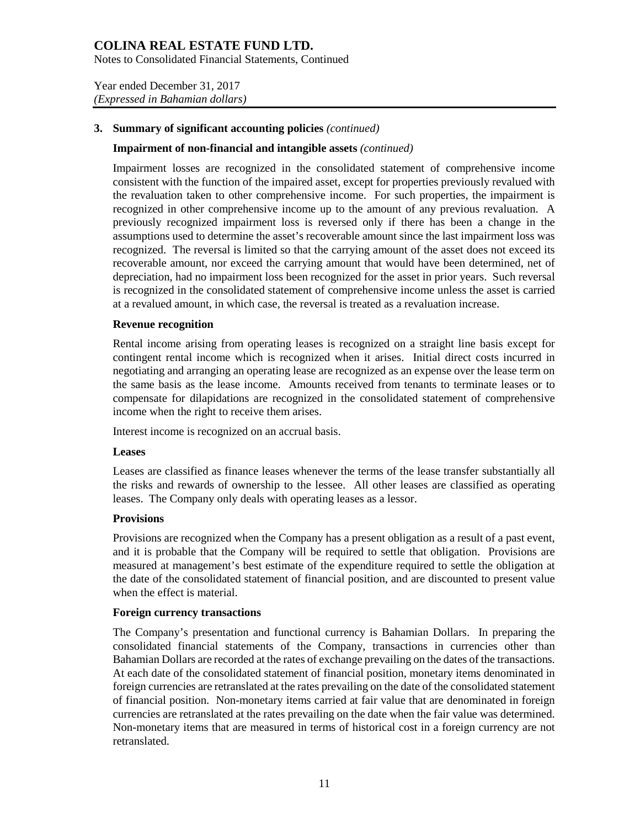Notes to Consolidated Financial Statements, Continued

Year ended December 31, 2017 *(Expressed in Bahamian dollars)*

## **3. Summary of significant accounting policies** *(continued)*

## **Impairment of non-financial and intangible assets** *(continued)*

Impairment losses are recognized in the consolidated statement of comprehensive income consistent with the function of the impaired asset, except for properties previously revalued with the revaluation taken to other comprehensive income. For such properties, the impairment is recognized in other comprehensive income up to the amount of any previous revaluation. A previously recognized impairment loss is reversed only if there has been a change in the assumptions used to determine the asset's recoverable amount since the last impairment loss was recognized. The reversal is limited so that the carrying amount of the asset does not exceed its recoverable amount, nor exceed the carrying amount that would have been determined, net of depreciation, had no impairment loss been recognized for the asset in prior years. Such reversal is recognized in the consolidated statement of comprehensive income unless the asset is carried at a revalued amount, in which case, the reversal is treated as a revaluation increase.

## **Revenue recognition**

Rental income arising from operating leases is recognized on a straight line basis except for contingent rental income which is recognized when it arises. Initial direct costs incurred in negotiating and arranging an operating lease are recognized as an expense over the lease term on the same basis as the lease income. Amounts received from tenants to terminate leases or to compensate for dilapidations are recognized in the consolidated statement of comprehensive income when the right to receive them arises.

Interest income is recognized on an accrual basis.

## **Leases**

Leases are classified as finance leases whenever the terms of the lease transfer substantially all the risks and rewards of ownership to the lessee. All other leases are classified as operating leases. The Company only deals with operating leases as a lessor.

## **Provisions**

Provisions are recognized when the Company has a present obligation as a result of a past event, and it is probable that the Company will be required to settle that obligation. Provisions are measured at management's best estimate of the expenditure required to settle the obligation at the date of the consolidated statement of financial position, and are discounted to present value when the effect is material.

## **Foreign currency transactions**

The Company's presentation and functional currency is Bahamian Dollars. In preparing the consolidated financial statements of the Company, transactions in currencies other than Bahamian Dollars are recorded at the rates of exchange prevailing on the dates of the transactions. At each date of the consolidated statement of financial position, monetary items denominated in foreign currencies are retranslated at the rates prevailing on the date of the consolidated statement of financial position. Non-monetary items carried at fair value that are denominated in foreign currencies are retranslated at the rates prevailing on the date when the fair value was determined. Non-monetary items that are measured in terms of historical cost in a foreign currency are not retranslated.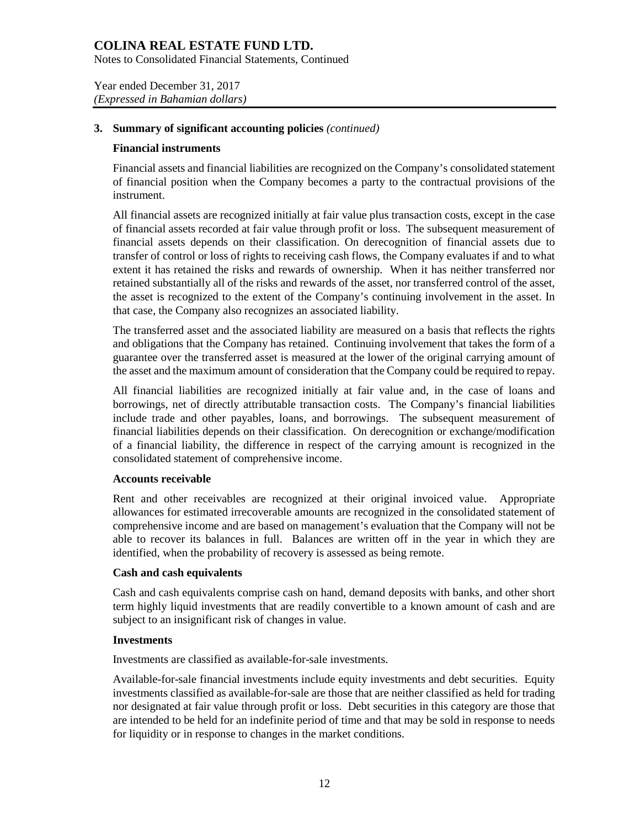Notes to Consolidated Financial Statements, Continued

Year ended December 31, 2017 *(Expressed in Bahamian dollars)*

## **3. Summary of significant accounting policies** *(continued)*

## **Financial instruments**

Financial assets and financial liabilities are recognized on the Company's consolidated statement of financial position when the Company becomes a party to the contractual provisions of the instrument.

All financial assets are recognized initially at fair value plus transaction costs, except in the case of financial assets recorded at fair value through profit or loss. The subsequent measurement of financial assets depends on their classification. On derecognition of financial assets due to transfer of control or loss of rights to receiving cash flows, the Company evaluates if and to what extent it has retained the risks and rewards of ownership. When it has neither transferred nor retained substantially all of the risks and rewards of the asset, nor transferred control of the asset, the asset is recognized to the extent of the Company's continuing involvement in the asset. In that case, the Company also recognizes an associated liability.

The transferred asset and the associated liability are measured on a basis that reflects the rights and obligations that the Company has retained. Continuing involvement that takes the form of a guarantee over the transferred asset is measured at the lower of the original carrying amount of the asset and the maximum amount of consideration that the Company could be required to repay.

All financial liabilities are recognized initially at fair value and, in the case of loans and borrowings, net of directly attributable transaction costs. The Company's financial liabilities include trade and other payables, loans, and borrowings. The subsequent measurement of financial liabilities depends on their classification. On derecognition or exchange/modification of a financial liability, the difference in respect of the carrying amount is recognized in the consolidated statement of comprehensive income.

## **Accounts receivable**

Rent and other receivables are recognized at their original invoiced value. Appropriate allowances for estimated irrecoverable amounts are recognized in the consolidated statement of comprehensive income and are based on management's evaluation that the Company will not be able to recover its balances in full. Balances are written off in the year in which they are identified, when the probability of recovery is assessed as being remote.

## **Cash and cash equivalents**

Cash and cash equivalents comprise cash on hand, demand deposits with banks, and other short term highly liquid investments that are readily convertible to a known amount of cash and are subject to an insignificant risk of changes in value.

## **Investments**

Investments are classified as available-for-sale investments.

Available-for-sale financial investments include equity investments and debt securities. Equity investments classified as available-for-sale are those that are neither classified as held for trading nor designated at fair value through profit or loss. Debt securities in this category are those that are intended to be held for an indefinite period of time and that may be sold in response to needs for liquidity or in response to changes in the market conditions.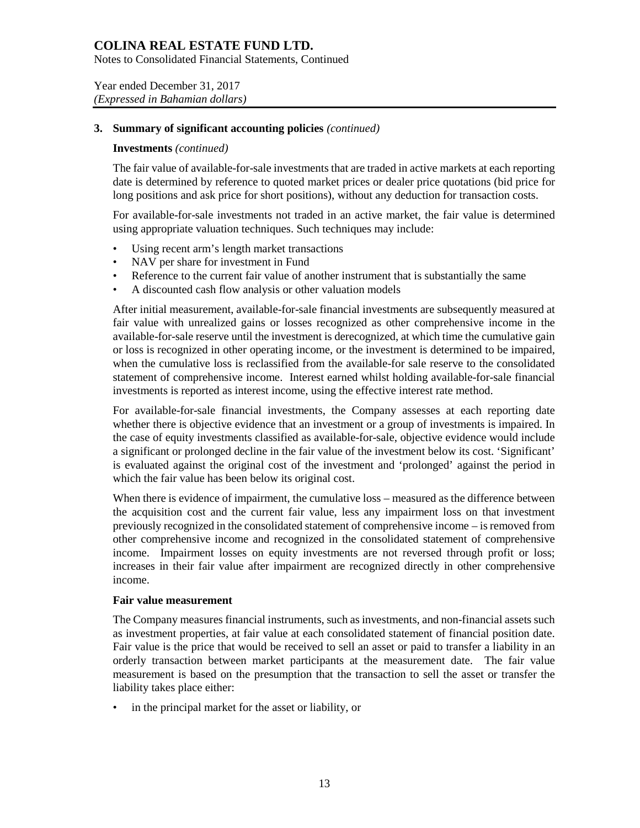Notes to Consolidated Financial Statements, Continued

Year ended December 31, 2017 *(Expressed in Bahamian dollars)*

## **3. Summary of significant accounting policies** *(continued)*

## **Investments** *(continued)*

The fair value of available-for-sale investments that are traded in active markets at each reporting date is determined by reference to quoted market prices or dealer price quotations (bid price for long positions and ask price for short positions), without any deduction for transaction costs.

For available-for-sale investments not traded in an active market, the fair value is determined using appropriate valuation techniques. Such techniques may include:

- Using recent arm's length market transactions
- NAV per share for investment in Fund
- Reference to the current fair value of another instrument that is substantially the same
- A discounted cash flow analysis or other valuation models

After initial measurement, available-for-sale financial investments are subsequently measured at fair value with unrealized gains or losses recognized as other comprehensive income in the available-for-sale reserve until the investment is derecognized, at which time the cumulative gain or loss is recognized in other operating income, or the investment is determined to be impaired, when the cumulative loss is reclassified from the available-for sale reserve to the consolidated statement of comprehensive income. Interest earned whilst holding available-for-sale financial investments is reported as interest income, using the effective interest rate method.

For available-for-sale financial investments, the Company assesses at each reporting date whether there is objective evidence that an investment or a group of investments is impaired. In the case of equity investments classified as available-for-sale, objective evidence would include a significant or prolonged decline in the fair value of the investment below its cost. 'Significant' is evaluated against the original cost of the investment and 'prolonged' against the period in which the fair value has been below its original cost.

When there is evidence of impairment, the cumulative loss – measured as the difference between the acquisition cost and the current fair value, less any impairment loss on that investment previously recognized in the consolidated statement of comprehensive income – is removed from other comprehensive income and recognized in the consolidated statement of comprehensive income. Impairment losses on equity investments are not reversed through profit or loss; increases in their fair value after impairment are recognized directly in other comprehensive income.

## **Fair value measurement**

The Company measures financial instruments, such as investments, and non-financial assets such as investment properties, at fair value at each consolidated statement of financial position date. Fair value is the price that would be received to sell an asset or paid to transfer a liability in an orderly transaction between market participants at the measurement date. The fair value measurement is based on the presumption that the transaction to sell the asset or transfer the liability takes place either:

• in the principal market for the asset or liability, or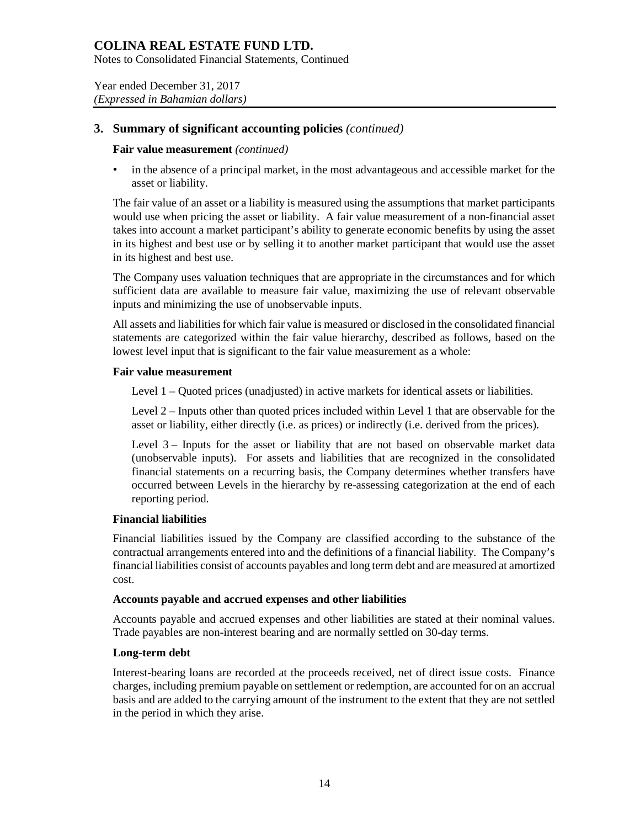Notes to Consolidated Financial Statements, Continued

Year ended December 31, 2017 *(Expressed in Bahamian dollars)*

## **3. Summary of significant accounting policies** *(continued)*

## **Fair value measurement** *(continued)*

• in the absence of a principal market, in the most advantageous and accessible market for the asset or liability.

The fair value of an asset or a liability is measured using the assumptions that market participants would use when pricing the asset or liability. A fair value measurement of a non-financial asset takes into account a market participant's ability to generate economic benefits by using the asset in its highest and best use or by selling it to another market participant that would use the asset in its highest and best use.

The Company uses valuation techniques that are appropriate in the circumstances and for which sufficient data are available to measure fair value, maximizing the use of relevant observable inputs and minimizing the use of unobservable inputs.

All assets and liabilities for which fair value is measured or disclosed in the consolidated financial statements are categorized within the fair value hierarchy, described as follows, based on the lowest level input that is significant to the fair value measurement as a whole:

## **Fair value measurement**

Level 1 – Quoted prices (unadjusted) in active markets for identical assets or liabilities.

Level 2 – Inputs other than quoted prices included within Level 1 that are observable for the asset or liability, either directly (i.e. as prices) or indirectly (i.e. derived from the prices).

Level 3 – Inputs for the asset or liability that are not based on observable market data (unobservable inputs). For assets and liabilities that are recognized in the consolidated financial statements on a recurring basis, the Company determines whether transfers have occurred between Levels in the hierarchy by re-assessing categorization at the end of each reporting period.

## **Financial liabilities**

Financial liabilities issued by the Company are classified according to the substance of the contractual arrangements entered into and the definitions of a financial liability. The Company's financial liabilities consist of accounts payables and long term debt and are measured at amortized cost.

## **Accounts payable and accrued expenses and other liabilities**

Accounts payable and accrued expenses and other liabilities are stated at their nominal values. Trade payables are non-interest bearing and are normally settled on 30-day terms.

## **Long-term debt**

Interest-bearing loans are recorded at the proceeds received, net of direct issue costs. Finance charges, including premium payable on settlement or redemption, are accounted for on an accrual basis and are added to the carrying amount of the instrument to the extent that they are not settled in the period in which they arise.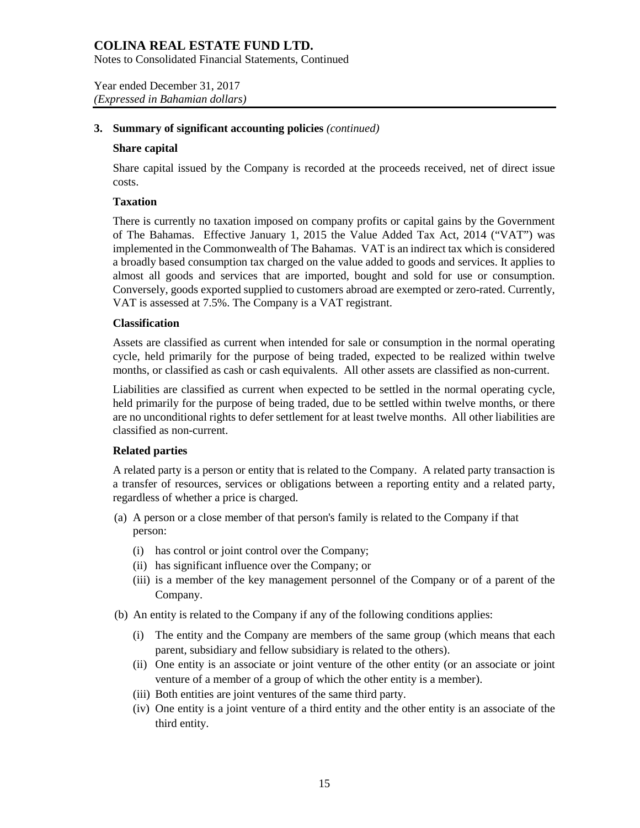Notes to Consolidated Financial Statements, Continued

Year ended December 31, 2017 *(Expressed in Bahamian dollars)*

## **3. Summary of significant accounting policies** *(continued)*

## **Share capital**

Share capital issued by the Company is recorded at the proceeds received, net of direct issue costs.

## **Taxation**

There is currently no taxation imposed on company profits or capital gains by the Government of The Bahamas. Effective January 1, 2015 the Value Added Tax Act, 2014 ("VAT") was implemented in the Commonwealth of The Bahamas. VAT is an indirect tax which is considered a broadly based consumption tax charged on the value added to goods and services. It applies to almost all goods and services that are imported, bought and sold for use or consumption. Conversely, goods exported supplied to customers abroad are exempted or zero-rated. Currently, VAT is assessed at 7.5%. The Company is a VAT registrant.

## **Classification**

Assets are classified as current when intended for sale or consumption in the normal operating cycle, held primarily for the purpose of being traded, expected to be realized within twelve months, or classified as cash or cash equivalents. All other assets are classified as non-current.

Liabilities are classified as current when expected to be settled in the normal operating cycle, held primarily for the purpose of being traded, due to be settled within twelve months, or there are no unconditional rights to defer settlement for at least twelve months. All other liabilities are classified as non-current.

## **Related parties**

A related party is a person or entity that is related to the Company. A related party transaction is a transfer of resources, services or obligations between a reporting entity and a related party, regardless of whether a price is charged.

- (a) A person or a close member of that person's family is related to the Company if that person:
	- (i) has control or joint control over the Company;
	- (ii) has significant influence over the Company; or
	- (iii) is a member of the key management personnel of the Company or of a parent of the Company.
- (b) An entity is related to the Company if any of the following conditions applies:
	- (i) The entity and the Company are members of the same group (which means that each parent, subsidiary and fellow subsidiary is related to the others).
	- (ii) One entity is an associate or joint venture of the other entity (or an associate or joint venture of a member of a group of which the other entity is a member).
	- (iii) Both entities are joint ventures of the same third party.
	- (iv) One entity is a joint venture of a third entity and the other entity is an associate of the third entity.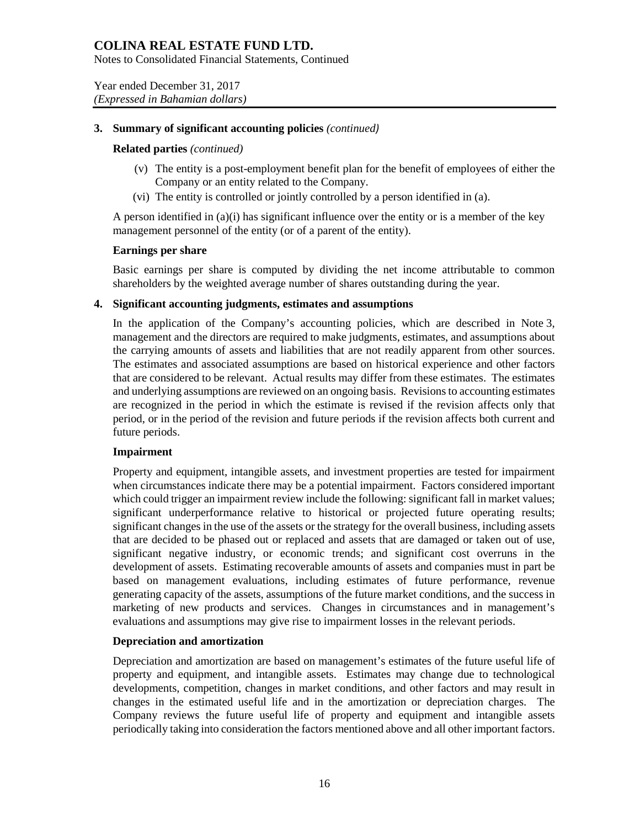Notes to Consolidated Financial Statements, Continued

Year ended December 31, 2017 *(Expressed in Bahamian dollars)*

## **3. Summary of significant accounting policies** *(continued)*

## **Related parties** *(continued)*

- (v) The entity is a post-employment benefit plan for the benefit of employees of either the Company or an entity related to the Company.
- (vi) The entity is controlled or jointly controlled by a person identified in (a).

A person identified in (a)(i) has significant influence over the entity or is a member of the key management personnel of the entity (or of a parent of the entity).

## **Earnings per share**

Basic earnings per share is computed by dividing the net income attributable to common shareholders by the weighted average number of shares outstanding during the year.

## **4. Significant accounting judgments, estimates and assumptions**

In the application of the Company's accounting policies, which are described in Note 3, management and the directors are required to make judgments, estimates, and assumptions about the carrying amounts of assets and liabilities that are not readily apparent from other sources. The estimates and associated assumptions are based on historical experience and other factors that are considered to be relevant. Actual results may differ from these estimates. The estimates and underlying assumptions are reviewed on an ongoing basis. Revisions to accounting estimates are recognized in the period in which the estimate is revised if the revision affects only that period, or in the period of the revision and future periods if the revision affects both current and future periods.

## **Impairment**

Property and equipment, intangible assets, and investment properties are tested for impairment when circumstances indicate there may be a potential impairment. Factors considered important which could trigger an impairment review include the following: significant fall in market values; significant underperformance relative to historical or projected future operating results; significant changes in the use of the assets or the strategy for the overall business, including assets that are decided to be phased out or replaced and assets that are damaged or taken out of use, significant negative industry, or economic trends; and significant cost overruns in the development of assets. Estimating recoverable amounts of assets and companies must in part be based on management evaluations, including estimates of future performance, revenue generating capacity of the assets, assumptions of the future market conditions, and the success in marketing of new products and services. Changes in circumstances and in management's evaluations and assumptions may give rise to impairment losses in the relevant periods.

## **Depreciation and amortization**

Depreciation and amortization are based on management's estimates of the future useful life of property and equipment, and intangible assets. Estimates may change due to technological developments, competition, changes in market conditions, and other factors and may result in changes in the estimated useful life and in the amortization or depreciation charges. The Company reviews the future useful life of property and equipment and intangible assets periodically taking into consideration the factors mentioned above and all other important factors.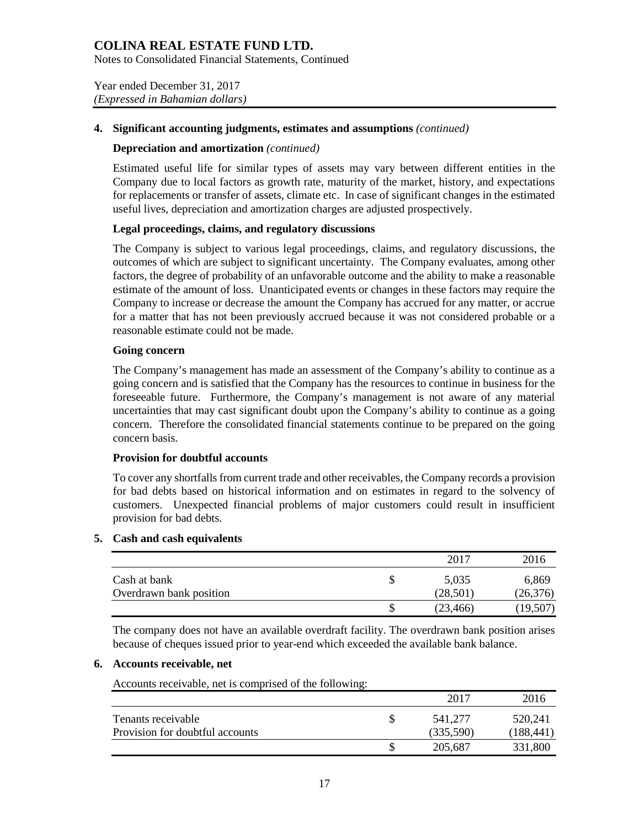Notes to Consolidated Financial Statements, Continued

Year ended December 31, 2017 *(Expressed in Bahamian dollars)*

## **4. Significant accounting judgments, estimates and assumptions** *(continued)*

## **Depreciation and amortization** *(continued)*

Estimated useful life for similar types of assets may vary between different entities in the Company due to local factors as growth rate, maturity of the market, history, and expectations for replacements or transfer of assets, climate etc. In case of significant changes in the estimated useful lives, depreciation and amortization charges are adjusted prospectively.

## **Legal proceedings, claims, and regulatory discussions**

The Company is subject to various legal proceedings, claims, and regulatory discussions, the outcomes of which are subject to significant uncertainty. The Company evaluates, among other factors, the degree of probability of an unfavorable outcome and the ability to make a reasonable estimate of the amount of loss. Unanticipated events or changes in these factors may require the Company to increase or decrease the amount the Company has accrued for any matter, or accrue for a matter that has not been previously accrued because it was not considered probable or a reasonable estimate could not be made.

## **Going concern**

The Company's management has made an assessment of the Company's ability to continue as a going concern and is satisfied that the Company has the resources to continue in business for the foreseeable future. Furthermore, the Company's management is not aware of any material uncertainties that may cast significant doubt upon the Company's ability to continue as a going concern. Therefore the consolidated financial statements continue to be prepared on the going concern basis.

## **Provision for doubtful accounts**

To cover any shortfalls from current trade and other receivables, the Company records a provision for bad debts based on historical information and on estimates in regard to the solvency of customers. Unexpected financial problems of major customers could result in insufficient provision for bad debts.

## **5. Cash and cash equivalents**

|                         | 2017      | 2016     |
|-------------------------|-----------|----------|
| Cash at bank            | 5,035     | 6,869    |
| Overdrawn bank position | (28, 501) | (26,376) |
|                         | (23, 466) | (19,507) |

The company does not have an available overdraft facility. The overdrawn bank position arises because of cheques issued prior to year-end which exceeded the available bank balance.

## **6. Accounts receivable, net**

Accounts receivable, net is comprised of the following:

|                                 | 2017      | 2016       |
|---------------------------------|-----------|------------|
| Tenants receivable              | 541.277   | 520.241    |
| Provision for doubtful accounts | (335,590) | (188, 441) |
|                                 | 205,687   | 331,800    |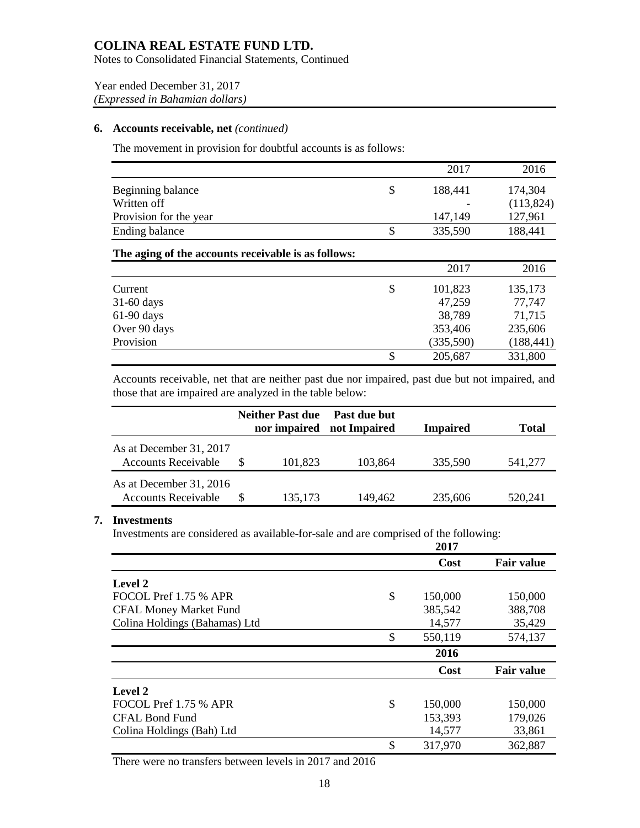Notes to Consolidated Financial Statements, Continued

## Year ended December 31, 2017 *(Expressed in Bahamian dollars)*

# **6. Accounts receivable, net** *(continued)*

The movement in provision for doubtful accounts is as follows:

|                                                     | 2017          | 2016       |
|-----------------------------------------------------|---------------|------------|
| Beginning balance                                   | \$<br>188,441 | 174,304    |
| Written off                                         |               | (113,824)  |
| Provision for the year                              | 147,149       | 127,961    |
| Ending balance                                      | \$<br>335,590 | 188,441    |
| The aging of the accounts receivable is as follows: |               |            |
|                                                     | 2017          | 2016       |
| Current                                             | \$<br>101,823 | 135,173    |
| $31-60$ days                                        | 47,259        | 77,747     |
| 61-90 days                                          | 38,789        | 71,715     |
| Over 90 days                                        | 353,406       | 235,606    |
| Provision                                           | (335,590)     | (188, 441) |
|                                                     | \$<br>205,687 | 331,800    |

Accounts receivable, net that are neither past due nor impaired, past due but not impaired, and those that are impaired are analyzed in the table below:

|                                                       |   | <b>Neither Past due</b> | Past due but |                 |         |
|-------------------------------------------------------|---|-------------------------|--------------|-----------------|---------|
|                                                       |   | nor impaired            | not Impaired | <b>Impaired</b> | Total   |
| As at December 31, 2017<br><b>Accounts Receivable</b> |   | 101,823                 | 103,864      | 335,590         | 541,277 |
| As at December 31, 2016<br><b>Accounts Receivable</b> | S | 135,173                 | 149,462      | 235,606         | 520,241 |

## **7. Investments**

Investments are considered as available-for-sale and are comprised of the following:

|                               | 2017          |                   |
|-------------------------------|---------------|-------------------|
|                               | Cost          | <b>Fair value</b> |
| Level 2                       |               |                   |
| FOCOL Pref 1.75 % APR         | \$<br>150,000 | 150,000           |
| <b>CFAL Money Market Fund</b> | 385,542       | 388,708           |
| Colina Holdings (Bahamas) Ltd | 14,577        | 35,429            |
|                               | \$<br>550,119 | 574,137           |
|                               | 2016          |                   |
|                               | Cost          | <b>Fair value</b> |
| Level 2                       |               |                   |
| FOCOL Pref 1.75 % APR         | \$<br>150,000 | 150,000           |
| <b>CFAL Bond Fund</b>         | 153,393       | 179,026           |
| Colina Holdings (Bah) Ltd     | 14,577        | 33,861            |
|                               | \$<br>317,970 | 362,887           |

There were no transfers between levels in 2017 and 2016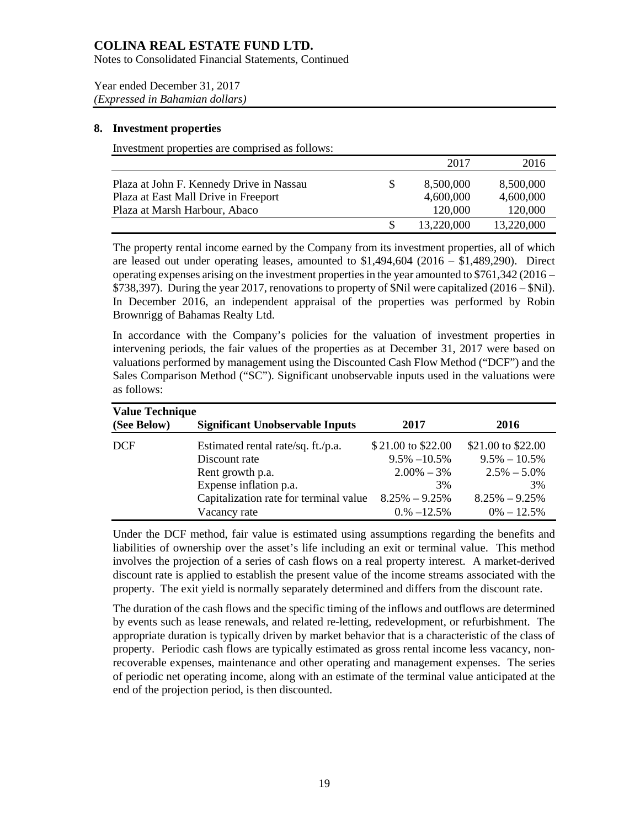Notes to Consolidated Financial Statements, Continued

| Year ended December 31, 2017    |  |
|---------------------------------|--|
| (Expressed in Bahamian dollars) |  |

## **8. Investment properties**

Investment properties are comprised as follows:

|                                                                                  | 2017                   | 2016                   |
|----------------------------------------------------------------------------------|------------------------|------------------------|
| Plaza at John F. Kennedy Drive in Nassau<br>Plaza at East Mall Drive in Freeport | 8.500,000<br>4,600,000 | 8,500,000<br>4,600,000 |
| Plaza at Marsh Harbour, Abaco                                                    | 120,000                | 120,000                |
|                                                                                  | 13.220.000             | 13,220,000             |

The property rental income earned by the Company from its investment properties, all of which are leased out under operating leases, amounted to \$1,494,604 (2016 – \$1,489,290). Direct operating expenses arising on the investment properties in the year amounted to \$761,342 (2016 – \$738,397). During the year 2017, renovations to property of \$Nil were capitalized (2016 – \$Nil). In December 2016, an independent appraisal of the properties was performed by Robin Brownrigg of Bahamas Realty Ltd.

In accordance with the Company's policies for the valuation of investment properties in intervening periods, the fair values of the properties as at December 31, 2017 were based on valuations performed by management using the Discounted Cash Flow Method ("DCF") and the Sales Comparison Method ("SC"). Significant unobservable inputs used in the valuations were as follows:

| <b>Value Technique</b> |                                        |                    |                    |
|------------------------|----------------------------------------|--------------------|--------------------|
| (See Below)            | <b>Significant Unobservable Inputs</b> | 2017               | 2016               |
| <b>DCF</b>             | Estimated rental rate/sq. ft./p.a.     | \$21.00 to \$22.00 | \$21.00 to \$22.00 |
|                        | Discount rate                          | $9.5\% -10.5\%$    | $9.5\% - 10.5\%$   |
|                        | Rent growth p.a.                       | $2.00\% - 3\%$     | $2.5\% - 5.0\%$    |
|                        | Expense inflation p.a.                 | 3%                 | 3%                 |
|                        | Capitalization rate for terminal value | $8.25\% - 9.25\%$  | $8.25\% - 9.25\%$  |
|                        | Vacancy rate                           | $0.% -12.5%$       | $0\% - 12.5\%$     |

Under the DCF method, fair value is estimated using assumptions regarding the benefits and liabilities of ownership over the asset's life including an exit or terminal value. This method involves the projection of a series of cash flows on a real property interest. A market-derived discount rate is applied to establish the present value of the income streams associated with the property. The exit yield is normally separately determined and differs from the discount rate.

The duration of the cash flows and the specific timing of the inflows and outflows are determined by events such as lease renewals, and related re-letting, redevelopment, or refurbishment. The appropriate duration is typically driven by market behavior that is a characteristic of the class of property. Periodic cash flows are typically estimated as gross rental income less vacancy, nonrecoverable expenses, maintenance and other operating and management expenses. The series of periodic net operating income, along with an estimate of the terminal value anticipated at the end of the projection period, is then discounted.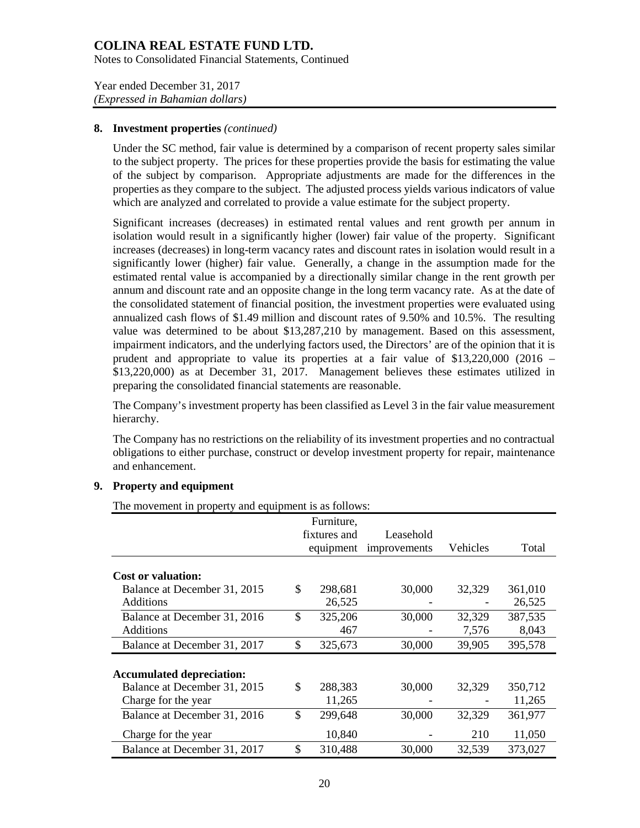Notes to Consolidated Financial Statements, Continued

Year ended December 31, 2017 *(Expressed in Bahamian dollars)*

## **8. Investment properties** *(continued)*

Under the SC method, fair value is determined by a comparison of recent property sales similar to the subject property. The prices for these properties provide the basis for estimating the value of the subject by comparison. Appropriate adjustments are made for the differences in the properties as they compare to the subject. The adjusted process yields various indicators of value which are analyzed and correlated to provide a value estimate for the subject property.

Significant increases (decreases) in estimated rental values and rent growth per annum in isolation would result in a significantly higher (lower) fair value of the property. Significant increases (decreases) in long-term vacancy rates and discount rates in isolation would result in a significantly lower (higher) fair value. Generally, a change in the assumption made for the estimated rental value is accompanied by a directionally similar change in the rent growth per annum and discount rate and an opposite change in the long term vacancy rate. As at the date of the consolidated statement of financial position, the investment properties were evaluated using annualized cash flows of \$1.49 million and discount rates of 9.50% and 10.5%. The resulting value was determined to be about \$13,287,210 by management. Based on this assessment, impairment indicators, and the underlying factors used, the Directors' are of the opinion that it is prudent and appropriate to value its properties at a fair value of \$13,220,000 (2016 – \$13,220,000) as at December 31, 2017. Management believes these estimates utilized in preparing the consolidated financial statements are reasonable.

The Company's investment property has been classified as Level 3 in the fair value measurement hierarchy.

The Company has no restrictions on the reliability of its investment properties and no contractual obligations to either purchase, construct or develop investment property for repair, maintenance and enhancement.

# Furniture, fixtures and Leasehold equipment improvements Vehicles Total **Cost or valuation:** Balance at December 31, 2015 \$ 298,681 30,000 32,329 361,010 Additions 26,525 - 26,525 Balance at December 31, 2016 \$ 325,206 30,000 32,329 387,535 Additions 467 - 7,576 8,043 Balance at December 31, 2017 \$ 325,673 30,000 39,905 395,578 **Accumulated depreciation:** Balance at December 31, 2015 \$ 288,383 30,000 32,329 350,712 Charge for the year 11,265 - 11,265 Balance at December 31, 2016 \$ 299,648 30,000 32,329 361,977 Charge for the year 10,840 - 210 11,050 Balance at December 31, 2017 \$ 310,488 30,000 32,539 373,027

## **9. Property and equipment**

The movement in property and equipment is as follows: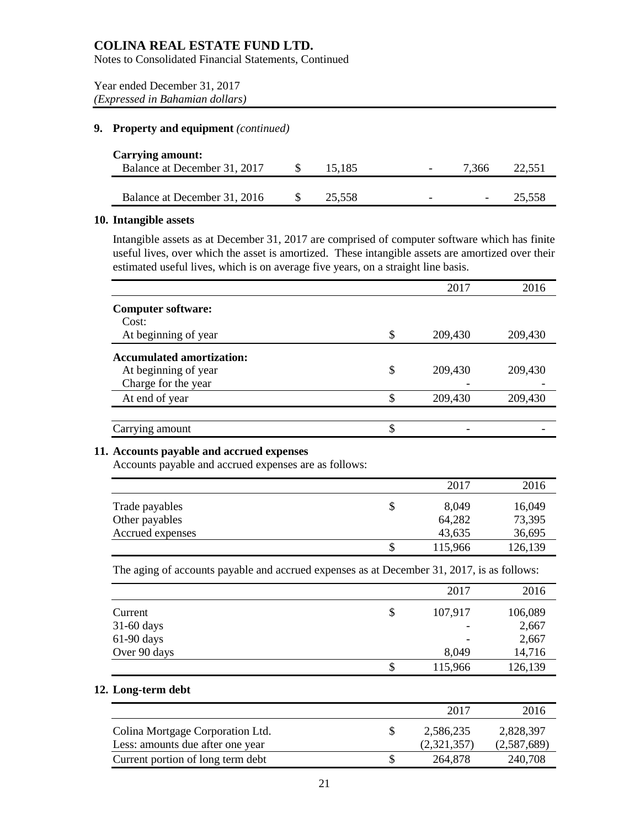Notes to Consolidated Financial Statements, Continued

## Year ended December 31, 2017 *(Expressed in Bahamian dollars)*

## **9. Property and equipment** *(continued)*

| <b>Carrying amount:</b><br>Balance at December 31, 2017 | 15.185 | 7.366                    | 22.551 |
|---------------------------------------------------------|--------|--------------------------|--------|
| Balance at December 31, 2016                            | 25.558 | $\overline{\phantom{0}}$ | 25,558 |

## **10. Intangible assets**

Intangible assets as at December 31, 2017 are comprised of computer software which has finite useful lives, over which the asset is amortized. These intangible assets are amortized over their estimated useful lives, which is on average five years, on a straight line basis.

|                                                                                            | 2017          | 2016    |
|--------------------------------------------------------------------------------------------|---------------|---------|
| <b>Computer software:</b>                                                                  |               |         |
| Cost:                                                                                      |               |         |
| At beginning of year                                                                       | \$<br>209,430 | 209,430 |
| <b>Accumulated amortization:</b>                                                           |               |         |
| At beginning of year                                                                       | \$<br>209,430 | 209,430 |
| Charge for the year                                                                        |               |         |
| At end of year                                                                             | \$<br>209,430 | 209,430 |
| Carrying amount                                                                            | \$            |         |
|                                                                                            | 2017          | 2016    |
| Trade payables                                                                             | \$<br>8,049   | 16,049  |
| Other payables                                                                             | 64,282        | 73,395  |
| Accrued expenses                                                                           | 43,635        | 36,695  |
|                                                                                            | \$<br>115,966 | 126,139 |
| The aging of accounts payable and accrued expenses as at December 31, 2017, is as follows: |               |         |
|                                                                                            | 2017          | 2016    |
| Current                                                                                    | \$<br>107,917 | 106,089 |
| 31-60 days                                                                                 |               | 2,667   |
| 61-90 days                                                                                 |               | 2,667   |

## **12. Long-term debt**

|                                   | 2017        | 2016        |
|-----------------------------------|-------------|-------------|
| Colina Mortgage Corporation Ltd.  | 2,586,235   | 2,828,397   |
| Less: amounts due after one year  | (2,321,357) | (2,587,689) |
| Current portion of long term debt | 264.878     | 240,708     |

Over 90 days 14,716

\$ 115,966 126,139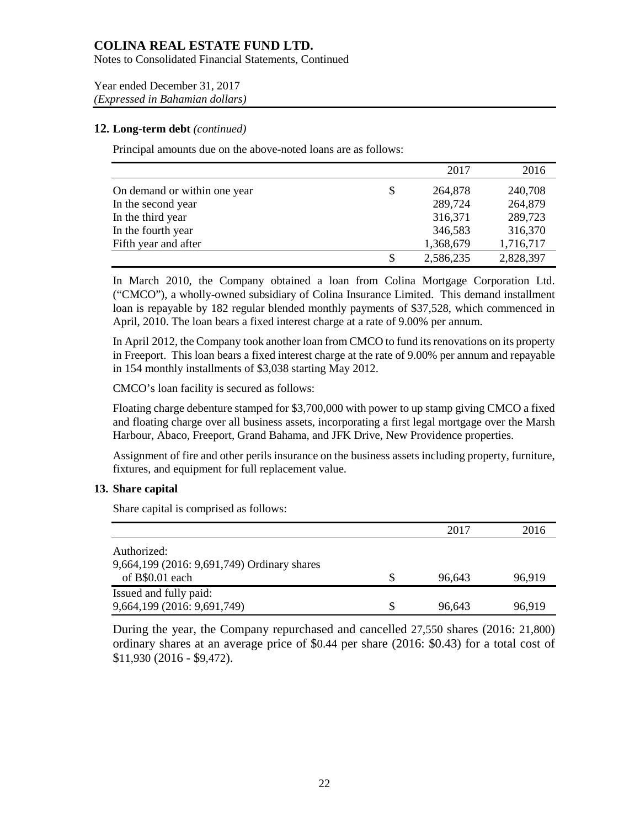Notes to Consolidated Financial Statements, Continued

Year ended December 31, 2017 *(Expressed in Bahamian dollars)*

## **12. Long-term debt** *(continued)*

Principal amounts due on the above-noted loans are as follows:

|                              | 2017          | 2016      |
|------------------------------|---------------|-----------|
| On demand or within one year | \$<br>264,878 | 240,708   |
| In the second year           | 289,724       | 264,879   |
| In the third year            | 316,371       | 289,723   |
| In the fourth year           | 346,583       | 316,370   |
| Fifth year and after         | 1,368,679     | 1,716,717 |
|                              | 2,586,235     | 2,828,397 |

In March 2010, the Company obtained a loan from Colina Mortgage Corporation Ltd. ("CMCO"), a wholly-owned subsidiary of Colina Insurance Limited. This demand installment loan is repayable by 182 regular blended monthly payments of \$37,528, which commenced in April, 2010. The loan bears a fixed interest charge at a rate of 9.00% per annum.

In April 2012, the Company took another loan from CMCO to fund its renovations on its property in Freeport. This loan bears a fixed interest charge at the rate of 9.00% per annum and repayable in 154 monthly installments of \$3,038 starting May 2012.

CMCO's loan facility is secured as follows:

Floating charge debenture stamped for \$3,700,000 with power to up stamp giving CMCO a fixed and floating charge over all business assets, incorporating a first legal mortgage over the Marsh Harbour, Abaco, Freeport, Grand Bahama, and JFK Drive, New Providence properties.

Assignment of fire and other perils insurance on the business assets including property, furniture, fixtures, and equipment for full replacement value.

## **13. Share capital**

Share capital is comprised as follows:

|                                                                               | 2017   | 2016   |
|-------------------------------------------------------------------------------|--------|--------|
| Authorized:<br>9,664,199 (2016: 9,691,749) Ordinary shares<br>of B\$0.01 each | 96.643 | 96,919 |
| Issued and fully paid:<br>9,664,199 (2016: 9,691,749)                         | 96,643 | 96,919 |

During the year, the Company repurchased and cancelled 27,550 shares (2016: 21,800) ordinary shares at an average price of \$0.44 per share (2016: \$0.43) for a total cost of \$11,930 (2016 - \$9,472).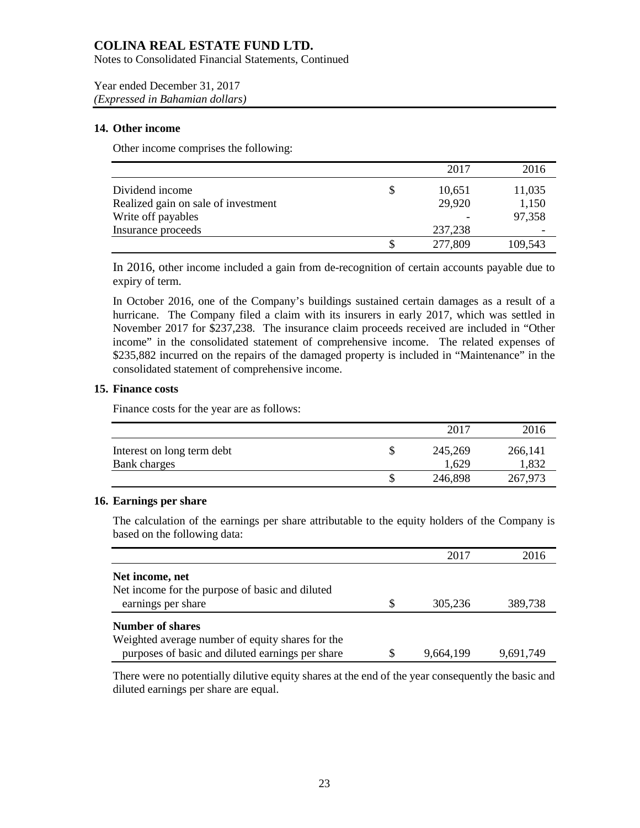Notes to Consolidated Financial Statements, Continued

Year ended December 31, 2017 *(Expressed in Bahamian dollars)*

## **14. Other income**

Other income comprises the following:

|                                     | 2017    | 2016                     |
|-------------------------------------|---------|--------------------------|
| Dividend income                     | 10,651  | 11,035                   |
| Realized gain on sale of investment | 29,920  | 1,150                    |
| Write off payables                  |         | 97,358                   |
| Insurance proceeds                  | 237,238 | $\overline{\phantom{a}}$ |
|                                     | 277,809 | 109,543                  |

In 2016, other income included a gain from de-recognition of certain accounts payable due to expiry of term.

In October 2016, one of the Company's buildings sustained certain damages as a result of a hurricane. The Company filed a claim with its insurers in early 2017, which was settled in November 2017 for \$237,238. The insurance claim proceeds received are included in "Other income" in the consolidated statement of comprehensive income. The related expenses of \$235,882 incurred on the repairs of the damaged property is included in "Maintenance" in the consolidated statement of comprehensive income.

## **15. Finance costs**

Finance costs for the year are as follows:

|                            | 2017    | 2016    |
|----------------------------|---------|---------|
| Interest on long term debt | 245,269 | 266,141 |
| Bank charges               | .629    | 1,832   |
|                            | 246,898 | 267,973 |

## **16. Earnings per share**

The calculation of the earnings per share attributable to the equity holders of the Company is based on the following data:

|                                                  |   | 2017      | 2016      |
|--------------------------------------------------|---|-----------|-----------|
| Net income, net                                  |   |           |           |
| Net income for the purpose of basic and diluted  |   |           |           |
| earnings per share                               | S | 305.236   | 389,738   |
| <b>Number of shares</b>                          |   |           |           |
| Weighted average number of equity shares for the |   |           |           |
| purposes of basic and diluted earnings per share | S | 9,664,199 | 9,691,749 |

There were no potentially dilutive equity shares at the end of the year consequently the basic and diluted earnings per share are equal.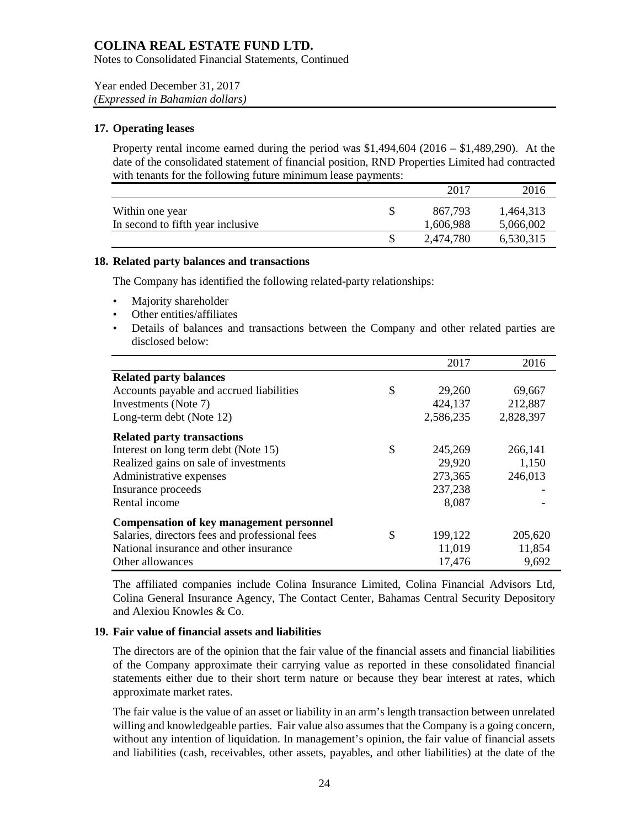Notes to Consolidated Financial Statements, Continued

## Year ended December 31, 2017 *(Expressed in Bahamian dollars)*

# **17. Operating leases**

Property rental income earned during the period was \$1,494,604 (2016 – \$1,489,290). At the date of the consolidated statement of financial position, RND Properties Limited had contracted with tenants for the following future minimum lease payments:

|                                                      | 2017                 | 2016                   |
|------------------------------------------------------|----------------------|------------------------|
| Within one year<br>In second to fifth year inclusive | 867.793<br>1,606,988 | 1.464.313<br>5,066,002 |
|                                                      |                      |                        |
|                                                      | 2.474.780            | 6,530,315              |

## **18. Related party balances and transactions**

The Company has identified the following related-party relationships:

- Majority shareholder
- Other entities/affiliates
- Details of balances and transactions between the Company and other related parties are disclosed below:

|                                                 | 2017          | 2016      |
|-------------------------------------------------|---------------|-----------|
| <b>Related party balances</b>                   |               |           |
| Accounts payable and accrued liabilities        | \$<br>29,260  | 69,667    |
| Investments (Note 7)                            | 424,137       | 212,887   |
| Long-term debt (Note 12)                        | 2,586,235     | 2,828,397 |
| <b>Related party transactions</b>               |               |           |
| Interest on long term debt (Note 15)            | \$<br>245,269 | 266,141   |
| Realized gains on sale of investments           | 29,920        | 1,150     |
| Administrative expenses                         | 273,365       | 246,013   |
| Insurance proceeds                              | 237,238       |           |
| Rental income                                   | 8,087         |           |
| <b>Compensation of key management personnel</b> |               |           |
| Salaries, directors fees and professional fees  | \$<br>199,122 | 205,620   |
| National insurance and other insurance          | 11,019        | 11,854    |
| Other allowances                                | 17,476        | 9,692     |

The affiliated companies include Colina Insurance Limited, Colina Financial Advisors Ltd, Colina General Insurance Agency, The Contact Center, Bahamas Central Security Depository and Alexiou Knowles & Co.

## **19. Fair value of financial assets and liabilities**

The directors are of the opinion that the fair value of the financial assets and financial liabilities of the Company approximate their carrying value as reported in these consolidated financial statements either due to their short term nature or because they bear interest at rates, which approximate market rates.

The fair value is the value of an asset or liability in an arm's length transaction between unrelated willing and knowledgeable parties. Fair value also assumes that the Company is a going concern, without any intention of liquidation. In management's opinion, the fair value of financial assets and liabilities (cash, receivables, other assets, payables, and other liabilities) at the date of the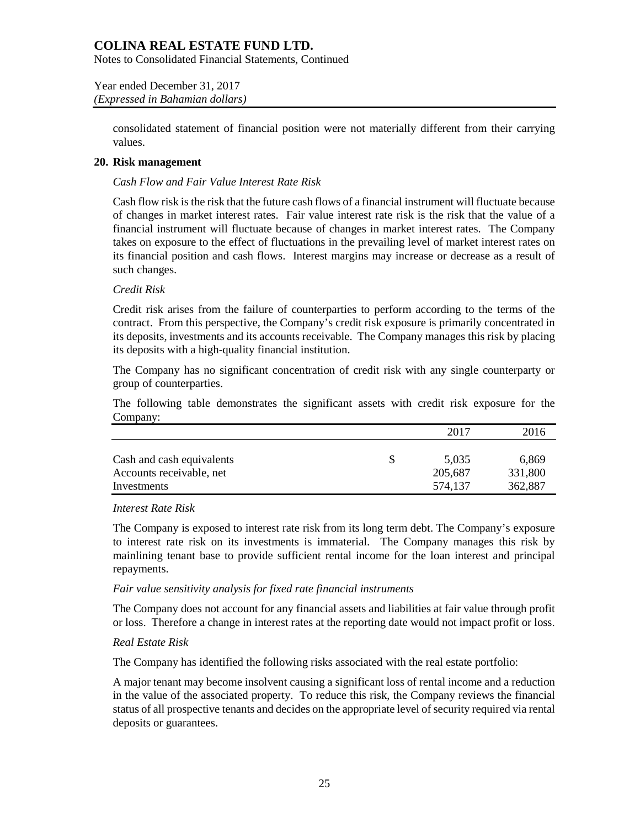Notes to Consolidated Financial Statements, Continued

## Year ended December 31, 2017 *(Expressed in Bahamian dollars)*

consolidated statement of financial position were not materially different from their carrying values.

## **20. Risk management**

## *Cash Flow and Fair Value Interest Rate Risk*

Cash flow risk is the risk that the future cash flows of a financial instrument will fluctuate because of changes in market interest rates. Fair value interest rate risk is the risk that the value of a financial instrument will fluctuate because of changes in market interest rates. The Company takes on exposure to the effect of fluctuations in the prevailing level of market interest rates on its financial position and cash flows. Interest margins may increase or decrease as a result of such changes.

## *Credit Risk*

Credit risk arises from the failure of counterparties to perform according to the terms of the contract. From this perspective, the Company's credit risk exposure is primarily concentrated in its deposits, investments and its accounts receivable. The Company manages this risk by placing its deposits with a high-quality financial institution.

The Company has no significant concentration of credit risk with any single counterparty or group of counterparties.

The following table demonstrates the significant assets with credit risk exposure for the Company:

|                           | 2017    | 2016    |
|---------------------------|---------|---------|
|                           |         |         |
| Cash and cash equivalents | 5.035   | 6,869   |
| Accounts receivable, net  | 205,687 | 331,800 |
| Investments               | 574.137 | 362,887 |

## *Interest Rate Risk*

The Company is exposed to interest rate risk from its long term debt. The Company's exposure to interest rate risk on its investments is immaterial. The Company manages this risk by mainlining tenant base to provide sufficient rental income for the loan interest and principal repayments.

## *Fair value sensitivity analysis for fixed rate financial instruments*

The Company does not account for any financial assets and liabilities at fair value through profit or loss. Therefore a change in interest rates at the reporting date would not impact profit or loss.

## *Real Estate Risk*

The Company has identified the following risks associated with the real estate portfolio:

A major tenant may become insolvent causing a significant loss of rental income and a reduction in the value of the associated property. To reduce this risk, the Company reviews the financial status of all prospective tenants and decides on the appropriate level of security required via rental deposits or guarantees.